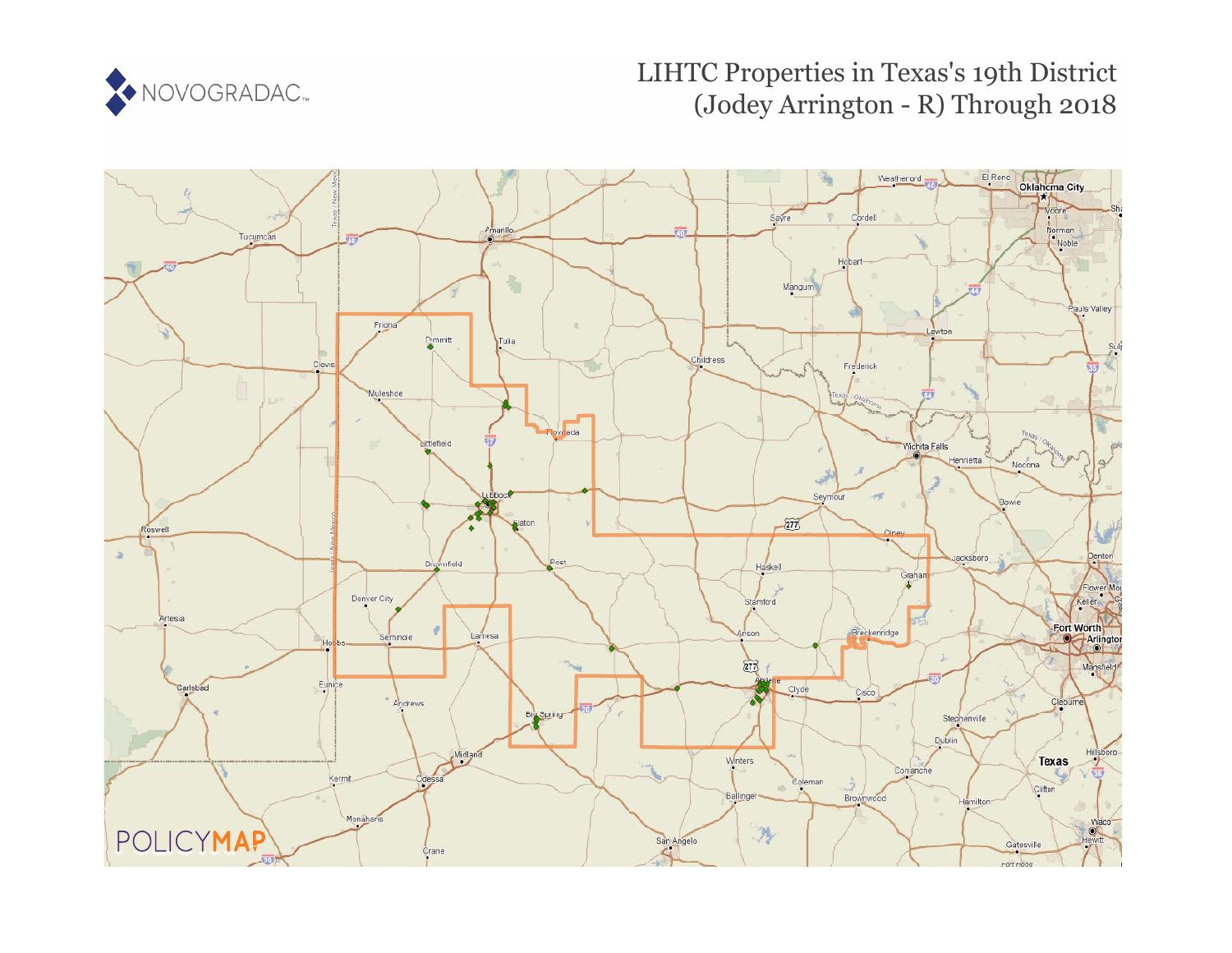

# LIHTC Properties in Texas's 19th District (Jodey Arrington - R) Through 2018

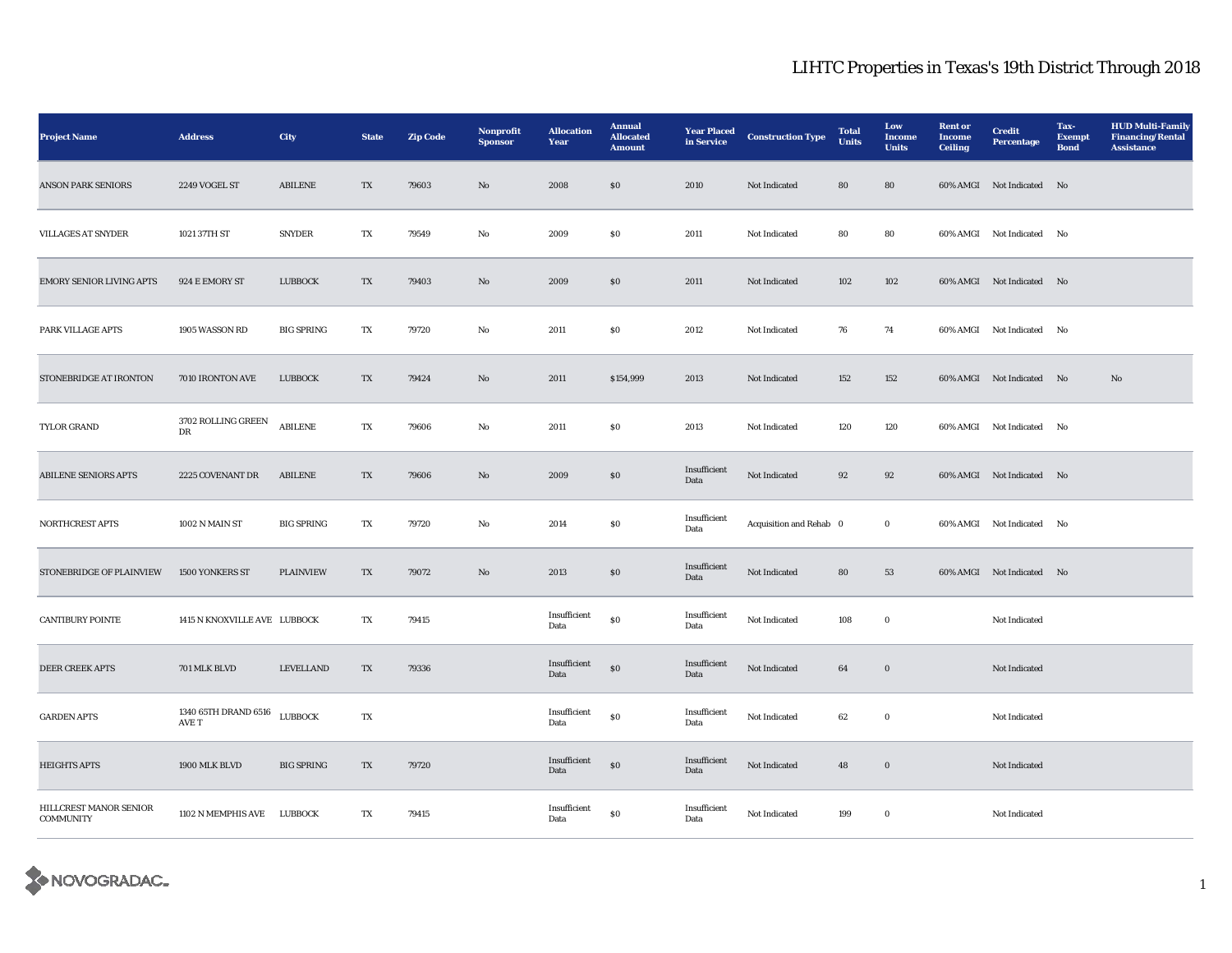| <b>Project Name</b>                        | <b>Address</b>                | City              | <b>State</b>           | <b>Zip Code</b> | Nonprofit<br><b>Sponsor</b> | <b>Allocation</b><br>Year | <b>Annual</b><br><b>Allocated</b><br><b>Amount</b> | <b>Year Placed</b><br>in Service | <b>Construction Type</b> | <b>Total</b><br><b>Units</b> | Low<br>Income<br><b>Units</b> | <b>Rent or</b><br><b>Income</b><br><b>Ceiling</b> | <b>Credit</b><br><b>Percentage</b> | Tax-<br><b>Exempt</b><br><b>Bond</b> | <b>HUD Multi-Family</b><br><b>Financing/Rental</b><br><b>Assistance</b> |
|--------------------------------------------|-------------------------------|-------------------|------------------------|-----------------|-----------------------------|---------------------------|----------------------------------------------------|----------------------------------|--------------------------|------------------------------|-------------------------------|---------------------------------------------------|------------------------------------|--------------------------------------|-------------------------------------------------------------------------|
| <b>ANSON PARK SENIORS</b>                  | 2249 VOGEL ST                 | <b>ABILENE</b>    | TX                     | 79603           | No                          | 2008                      | \$0\$                                              | 2010                             | Not Indicated            | 80                           | 80                            |                                                   | 60% AMGI Not Indicated No          |                                      |                                                                         |
| <b>VILLAGES AT SNYDER</b>                  | 1021 37TH ST                  | <b>SNYDER</b>     | TX                     | 79549           | No                          | 2009                      | \$0\$                                              | 2011                             | Not Indicated            | 80                           | 80                            |                                                   | 60% AMGI Not Indicated             | No                                   |                                                                         |
| <b>EMORY SENIOR LIVING APTS</b>            | 924 E EMORY ST                | LUBBOCK           | $\mathbf{T}\mathbf{X}$ | 79403           | $\rm No$                    | 2009                      | $\$0$                                              | 2011                             | Not Indicated            | $102\,$                      | 102                           |                                                   | 60% AMGI Not Indicated No          |                                      |                                                                         |
| PARK VILLAGE APTS                          | 1905 WASSON RD                | <b>BIG SPRING</b> | TX                     | 79720           | $\mathbf {No}$              | 2011                      | ${\bf S0}$                                         | 2012                             | Not Indicated            | 76                           | 74                            |                                                   | 60% AMGI Not Indicated No          |                                      |                                                                         |
| STONEBRIDGE AT IRONTON                     | 7010 IRONTON AVE              | LUBBOCK           | TX                     | 79424           | $\rm No$                    | 2011                      | \$154,999                                          | 2013                             | Not Indicated            | 152                          | 152                           |                                                   | 60% AMGI Not Indicated No          |                                      | $\mathbf{No}$                                                           |
| TYLOR GRAND                                | 3702 ROLLING GREEN<br>DR      | <b>ABILENE</b>    | TX                     | 79606           | No                          | 2011                      | $\$0$                                              | 2013                             | Not Indicated            | 120                          | 120                           |                                                   | 60% AMGI Not Indicated             | No                                   |                                                                         |
| <b>ABILENE SENIORS APTS</b>                | 2225 COVENANT DR              | <b>ABILENE</b>    | TX                     | 79606           | $\mathbf{N}\mathbf{o}$      | 2009                      | $\$0$                                              | Insufficient<br>Data             | Not Indicated            | 92                           | 92                            |                                                   | 60% AMGI Not Indicated No          |                                      |                                                                         |
| NORTHCREST APTS                            | 1002 N MAIN ST                | <b>BIG SPRING</b> | TX                     | 79720           | No                          | 2014                      | $\$0$                                              | Insufficient<br>Data             | Acquisition and Rehab 0  |                              | $\bf{0}$                      |                                                   | 60% AMGI Not Indicated             | No                                   |                                                                         |
| STONEBRIDGE OF PLAINVIEW                   | 1500 YONKERS ST               | <b>PLAINVIEW</b>  | TX                     | 79072           | No                          | 2013                      | \$0\$                                              | Insufficient<br>Data             | Not Indicated            | 80                           | 53                            |                                                   | 60% AMGI Not Indicated No          |                                      |                                                                         |
| <b>CANTIBURY POINTE</b>                    | 1415 N KNOXVILLE AVE LUBBOCK  |                   | TX                     | 79415           |                             | Insufficient<br>Data      | ${\bf S0}$                                         | Insufficient<br>Data             | Not Indicated            | 108                          | $\mathbf 0$                   |                                                   | Not Indicated                      |                                      |                                                                         |
| <b>DEER CREEK APTS</b>                     | 701 MLK BLVD                  | LEVELLAND         | TX                     | 79336           |                             | Insufficient<br>Data      | $\$0$                                              | Insufficient<br>Data             | Not Indicated            | 64                           | $\boldsymbol{0}$              |                                                   | Not Indicated                      |                                      |                                                                         |
| <b>GARDEN APTS</b>                         | 1340 65TH DRAND 6516<br>AVE T | LUBBOCK           | TX                     |                 |                             | Insufficient<br>Data      | ${\bf S0}$                                         | Insufficient<br>Data             | Not Indicated            | 62                           | $\mathbf 0$                   |                                                   | Not Indicated                      |                                      |                                                                         |
| <b>HEIGHTS APTS</b>                        | 1900 MLK BLVD                 | <b>BIG SPRING</b> | TX                     | 79720           |                             | Insufficient<br>Data      | $\bf{S0}$                                          | Insufficient<br>Data             | Not Indicated            | 48                           | $\boldsymbol{0}$              |                                                   | Not Indicated                      |                                      |                                                                         |
| HILLCREST MANOR SENIOR<br><b>COMMUNITY</b> | 1102 N MEMPHIS AVE LUBBOCK    |                   | TX                     | 79415           |                             | Insufficient<br>Data      | ${\bf S0}$                                         | Insufficient<br>Data             | Not Indicated            | 199                          | $\mathbf 0$                   |                                                   | Not Indicated                      |                                      |                                                                         |

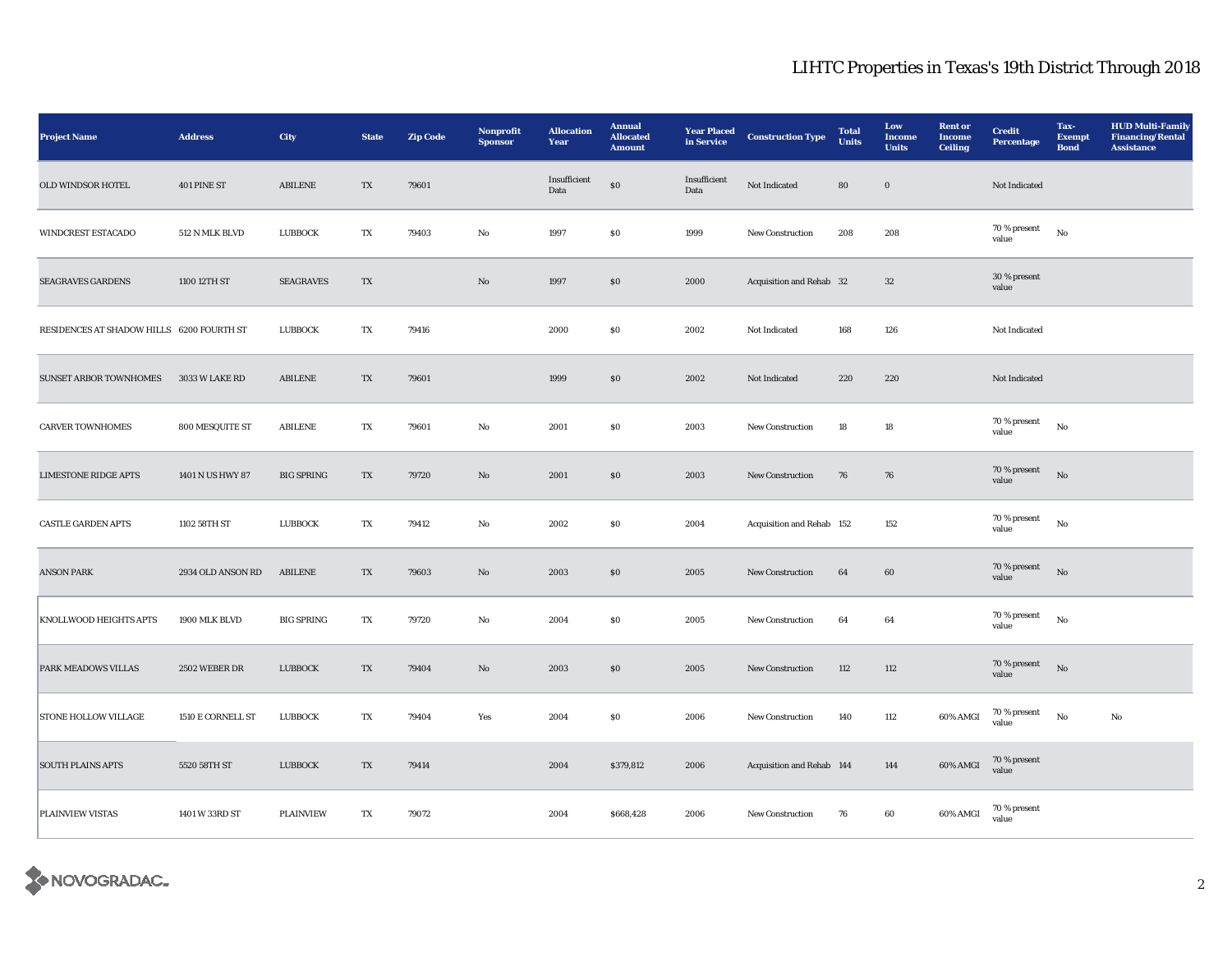| <b>Project Name</b>                       | <b>Address</b>    | <b>City</b>       | <b>State</b>             | <b>Zip Code</b> | Nonprofit<br><b>Sponsor</b> | <b>Allocation</b><br>Year | <b>Annual</b><br><b>Allocated</b><br><b>Amount</b> | <b>Year Placed</b><br>in Service | <b>Construction Type</b>  | <b>Total</b><br><b>Units</b> | Low<br><b>Income</b><br><b>Units</b> | <b>Rent or</b><br><b>Income</b><br><b>Ceiling</b> | <b>Credit</b><br>Percentage | Tax-<br><b>Exempt</b><br><b>Bond</b> | <b>HUD Multi-Family</b><br><b>Financing/Rental</b><br><b>Assistance</b> |
|-------------------------------------------|-------------------|-------------------|--------------------------|-----------------|-----------------------------|---------------------------|----------------------------------------------------|----------------------------------|---------------------------|------------------------------|--------------------------------------|---------------------------------------------------|-----------------------------|--------------------------------------|-------------------------------------------------------------------------|
| OLD WINDSOR HOTEL                         | 401 PINE ST       | ${\bf A BILENE}$  | $\mathcal{T}\mathcal{X}$ | 79601           |                             | Insufficient<br>Data      | $\$0$                                              | Insufficient<br>Data             | Not Indicated             | 80                           | $\mathbf 0$                          |                                                   | Not Indicated               |                                      |                                                                         |
| <b>WINDCREST ESTACADO</b>                 | 512 N MLK BLVD    | LUBBOCK           | TX                       | 79403           | No                          | 1997                      | \$0\$                                              | 1999                             | New Construction          | 208                          | 208                                  |                                                   | 70 % present<br>value       | $_{\rm No}$                          |                                                                         |
| <b>SEAGRAVES GARDENS</b>                  | 1100 12TH ST      | <b>SEAGRAVES</b>  | $\mathcal{T}\mathcal{X}$ |                 | No                          | 1997                      | $\$0$                                              | 2000                             | Acquisition and Rehab 32  |                              | $32\,$                               |                                                   | 30 % present<br>value       |                                      |                                                                         |
| RESIDENCES AT SHADOW HILLS 6200 FOURTH ST |                   | LUBBOCK           | TX                       | 79416           |                             | 2000                      | $\boldsymbol{\mathsf{S}}\boldsymbol{\mathsf{0}}$   | 2002                             | Not Indicated             | 168                          | 126                                  |                                                   | Not Indicated               |                                      |                                                                         |
| <b>SUNSET ARBOR TOWNHOMES</b>             | 3033 W LAKE RD    | ABILENE           | TX                       | 79601           |                             | 1999                      | \$0\$                                              | 2002                             | Not Indicated             | 220                          | 220                                  |                                                   | Not Indicated               |                                      |                                                                         |
| <b>CARVER TOWNHOMES</b>                   | 800 MESQUITE ST   | <b>ABILENE</b>    | TX                       | 79601           | No                          | 2001                      | $\boldsymbol{\mathsf{S}}\boldsymbol{\mathsf{0}}$   | 2003                             | New Construction          | 18                           | 18                                   |                                                   | 70 % present<br>value       | $_{\rm No}$                          |                                                                         |
| <b>LIMESTONE RIDGE APTS</b>               | 1401 N US HWY 87  | <b>BIG SPRING</b> | TX                       | 79720           | No                          | 2001                      | \$0\$                                              | 2003                             | <b>New Construction</b>   | 76                           | 76                                   |                                                   | 70 % present<br>value       | No                                   |                                                                         |
| <b>CASTLE GARDEN APTS</b>                 | 1102 58TH ST      | LUBBOCK           | TX                       | 79412           | No                          | 2002                      | $\boldsymbol{\mathsf{S}}\boldsymbol{\mathsf{0}}$   | 2004                             | Acquisition and Rehab 152 |                              | 152                                  |                                                   | 70 % present<br>value       | $_{\rm No}$                          |                                                                         |
| <b>ANSON PARK</b>                         | 2934 OLD ANSON RD | <b>ABILENE</b>    | TX                       | 79603           | No                          | 2003                      | $\boldsymbol{\mathsf{S}}\boldsymbol{\mathsf{0}}$   | 2005                             | New Construction          | 64                           | 60                                   |                                                   | 70 % present<br>value       | $\rm No$                             |                                                                         |
| KNOLLWOOD HEIGHTS APTS                    | 1900 MLK BLVD     | <b>BIG SPRING</b> | TX                       | 79720           | No                          | 2004                      | $\boldsymbol{\mathsf{S}}\boldsymbol{\mathsf{0}}$   | 2005                             | <b>New Construction</b>   | 64                           | 64                                   |                                                   | 70 % present<br>value       | No                                   |                                                                         |
| PARK MEADOWS VILLAS                       | 2502 WEBER DR     | <b>LUBBOCK</b>    | TX                       | 79404           | No                          | 2003                      | $\boldsymbol{\mathsf{S}}\boldsymbol{\mathsf{0}}$   | 2005                             | New Construction          | 112                          | 112                                  |                                                   | 70 % present<br>value       | No                                   |                                                                         |
| <b>STONE HOLLOW VILLAGE</b>               | 1510 E CORNELL ST | <b>LUBBOCK</b>    | TX                       | 79404           | Yes                         | 2004                      | \$0\$                                              | 2006                             | New Construction          | 140                          | 112                                  | 60% AMGI                                          | 70 % present<br>value       | No                                   | No                                                                      |
| <b>SOUTH PLAINS APTS</b>                  | 5520 58TH ST      | LUBBOCK           | TX                       | 79414           |                             | 2004                      | \$379,812                                          | 2006                             | Acquisition and Rehab 144 |                              | 144                                  | 60% AMGI                                          | 70 % present<br>value       |                                      |                                                                         |
| PLAINVIEW VISTAS                          | 1401 W 33RD ST    | PLAINVIEW         | TX                       | 79072           |                             | 2004                      | \$668,428                                          | 2006                             | New Construction          | 76                           | 60                                   | 60% AMGI                                          | 70 % present<br>value       |                                      |                                                                         |

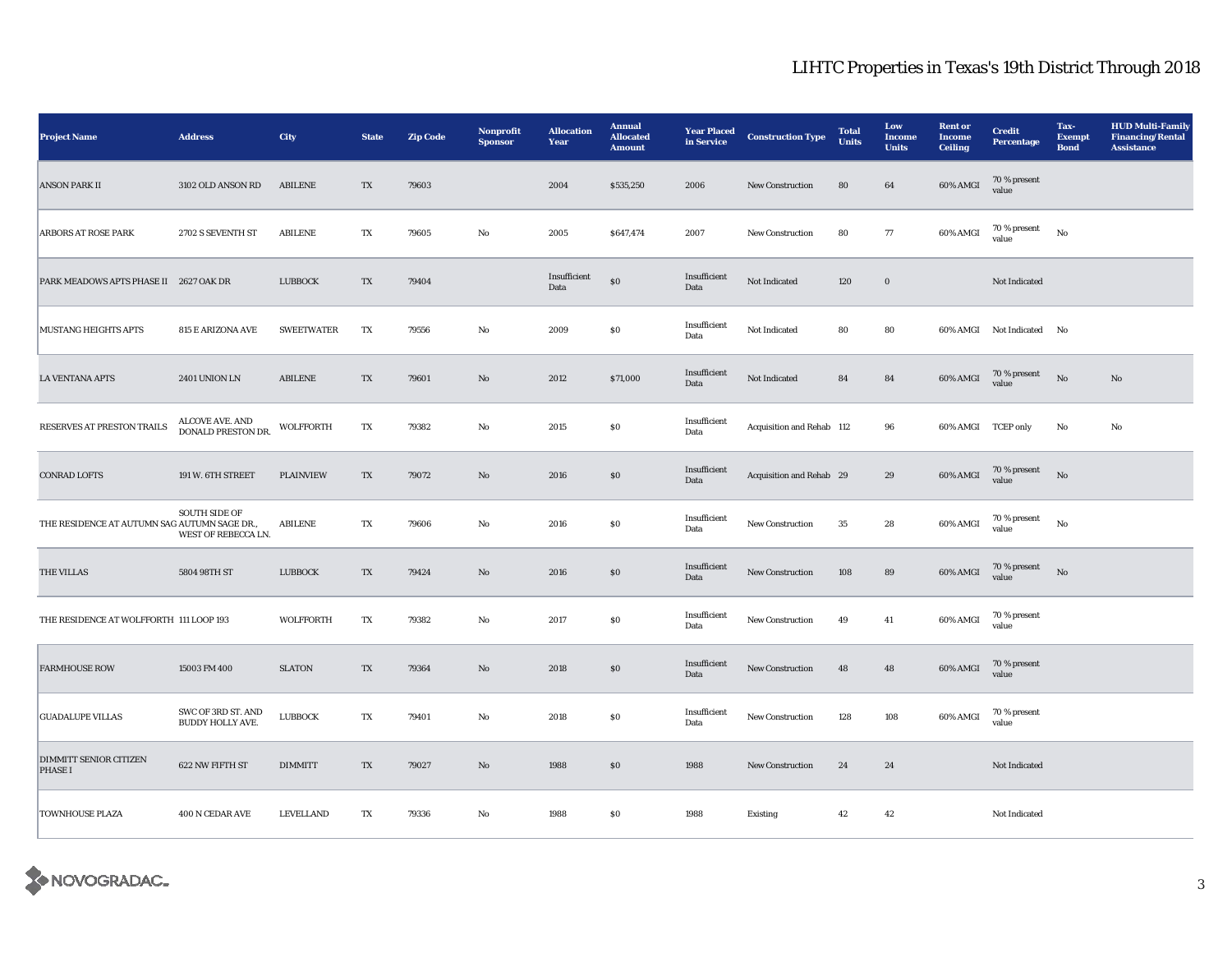| <b>Project Name</b>                             | <b>Address</b>                              | City              | <b>State</b> | <b>Zip Code</b> | Nonprofit<br><b>Sponsor</b> | <b>Allocation</b><br>Year       | <b>Annual</b><br><b>Allocated</b><br><b>Amount</b> | <b>Year Placed</b><br>in Service | <b>Construction Type</b>   | <b>Total</b><br><b>Units</b> | Low<br>Income<br><b>Units</b> | <b>Rent or</b><br><b>Income</b><br><b>Ceiling</b> | <b>Credit</b><br><b>Percentage</b> | Tax-<br><b>Exempt</b><br><b>Bond</b> | <b>HUD Multi-Family</b><br><b>Financing/Rental</b><br><b>Assistance</b> |
|-------------------------------------------------|---------------------------------------------|-------------------|--------------|-----------------|-----------------------------|---------------------------------|----------------------------------------------------|----------------------------------|----------------------------|------------------------------|-------------------------------|---------------------------------------------------|------------------------------------|--------------------------------------|-------------------------------------------------------------------------|
| <b>ANSON PARK II</b>                            | 3102 OLD ANSON RD                           | <b>ABILENE</b>    | TX           | 79603           |                             | 2004                            | \$535,250                                          | 2006                             | New Construction           | 80                           | 64                            | 60% AMGI                                          | 70 % present<br>value              |                                      |                                                                         |
| <b>ARBORS AT ROSE PARK</b>                      | 2702 S SEVENTH ST                           | <b>ABILENE</b>    | TX           | 79605           | $\mathbf{No}$               | 2005                            | \$647,474                                          | 2007                             | New Construction           | 80                           | 77                            | 60% AMGI                                          | 70 % present<br>value              | No                                   |                                                                         |
| PARK MEADOWS APTS PHASE II 2627 OAK DR          |                                             | <b>LUBBOCK</b>    | TX           | 79404           |                             | Insufficient<br>$\mathbf{Data}$ | $\$0$                                              | Insufficient<br>Data             | Not Indicated              | 120                          | $\boldsymbol{0}$              |                                                   | Not Indicated                      |                                      |                                                                         |
| MUSTANG HEIGHTS APTS                            | 815 E ARIZONA AVE                           | <b>SWEETWATER</b> | TX           | 79556           | $_{\rm No}$                 | 2009                            | $\boldsymbol{\mathsf{S}}\boldsymbol{\mathsf{O}}$   | Insufficient<br>Data             | $\hbox{\bf Not Indicated}$ | 80                           | 80                            |                                                   | 60% AMGI Not Indicated No          |                                      |                                                                         |
| <b>LA VENTANA APTS</b>                          | <b>2401 UNION LN</b>                        | <b>ABILENE</b>    | TX           | 79601           | $\mathbf{No}$               | 2012                            | \$71,000                                           | Insufficient<br>Data             | Not Indicated              | 84                           | 84                            | 60% AMGI                                          | 70 % present<br>value              | No                                   | No                                                                      |
| RESERVES AT PRESTON TRAILS                      | ALCOVE AVE. AND DONALD PRESTON DR.          | WOLFFORTH         | TX           | 79382           | No                          | 2015                            | $\$0$                                              | Insufficient<br>Data             | Acquisition and Rehab 112  |                              | 96                            | 60% AMGI TCEP only                                |                                    | $_{\rm No}$                          | No                                                                      |
| <b>CONRAD LOFTS</b>                             | 191 W. 6TH STREET                           | <b>PLAINVIEW</b>  | TX           | 79072           | No                          | 2016                            | \$0                                                | Insufficient<br>Data             | Acquisition and Rehab 29   |                              | 29                            | 60% AMGI                                          | 70 % present<br>value              | No                                   |                                                                         |
| THE RESIDENCE AT AUTUMN SAG AUTUMN SAGE DR.,    | <b>SOUTH SIDE OF</b><br>WEST OF REBECCA LN. | <b>ABILENE</b>    | TX           | 79606           | No                          | 2016                            | $\$0$                                              | Insufficient<br>Data             | New Construction           | $\bf 35$                     | 28                            | 60% AMGI                                          | 70 % present<br>value              | No                                   |                                                                         |
| THE VILLAS                                      | 5804 98TH ST                                | <b>LUBBOCK</b>    | TX           | 79424           | $\mathbf{N}\mathbf{o}$      | 2016                            | \$0                                                | Insufficient<br>Data             | <b>New Construction</b>    | 108                          | 89                            | 60% AMGI                                          | 70 % present<br>value              | No                                   |                                                                         |
| THE RESIDENCE AT WOLFFORTH 111 LOOP 193         |                                             | <b>WOLFFORTH</b>  | TX           | 79382           | No                          | 2017                            | $\$0$                                              | Insufficient<br>Data             | New Construction           | 49                           | 41                            | 60% AMGI                                          | 70 % present<br>value              |                                      |                                                                         |
| <b>FARMHOUSE ROW</b>                            | 15003 FM 400                                | <b>SLATON</b>     | TX           | 79364           | $\mathbf{N}\mathbf{o}$      | 2018                            | \$0                                                | Insufficient<br>Data             | <b>New Construction</b>    | 48                           | 48                            | 60% AMGI                                          | 70 % present<br>value              |                                      |                                                                         |
| <b>GUADALUPE VILLAS</b>                         | SWC OF 3RD ST. AND<br>BUDDY HOLLY AVE.      | <b>LUBBOCK</b>    | TX           | 79401           | No                          | 2018                            | $\$0$                                              | Insufficient<br>Data             | New Construction           | 128                          | 108                           | 60% AMGI                                          | 70 % present<br>value              |                                      |                                                                         |
| <b>DIMMITT SENIOR CITIZEN</b><br><b>PHASE I</b> | 622 NW FIFTH ST                             | <b>DIMMITT</b>    | TX           | 79027           | $\mathbf{N}\mathbf{o}$      | 1988                            | \$0                                                | 1988                             | <b>New Construction</b>    | 24                           | 24                            |                                                   | Not Indicated                      |                                      |                                                                         |
| <b>TOWNHOUSE PLAZA</b>                          | 400 N CEDAR AVE                             | <b>LEVELLAND</b>  | TX           | 79336           | $_{\rm No}$                 | 1988                            | $\$0$                                              | 1988                             | Existing                   | 42                           | 42                            |                                                   | Not Indicated                      |                                      |                                                                         |

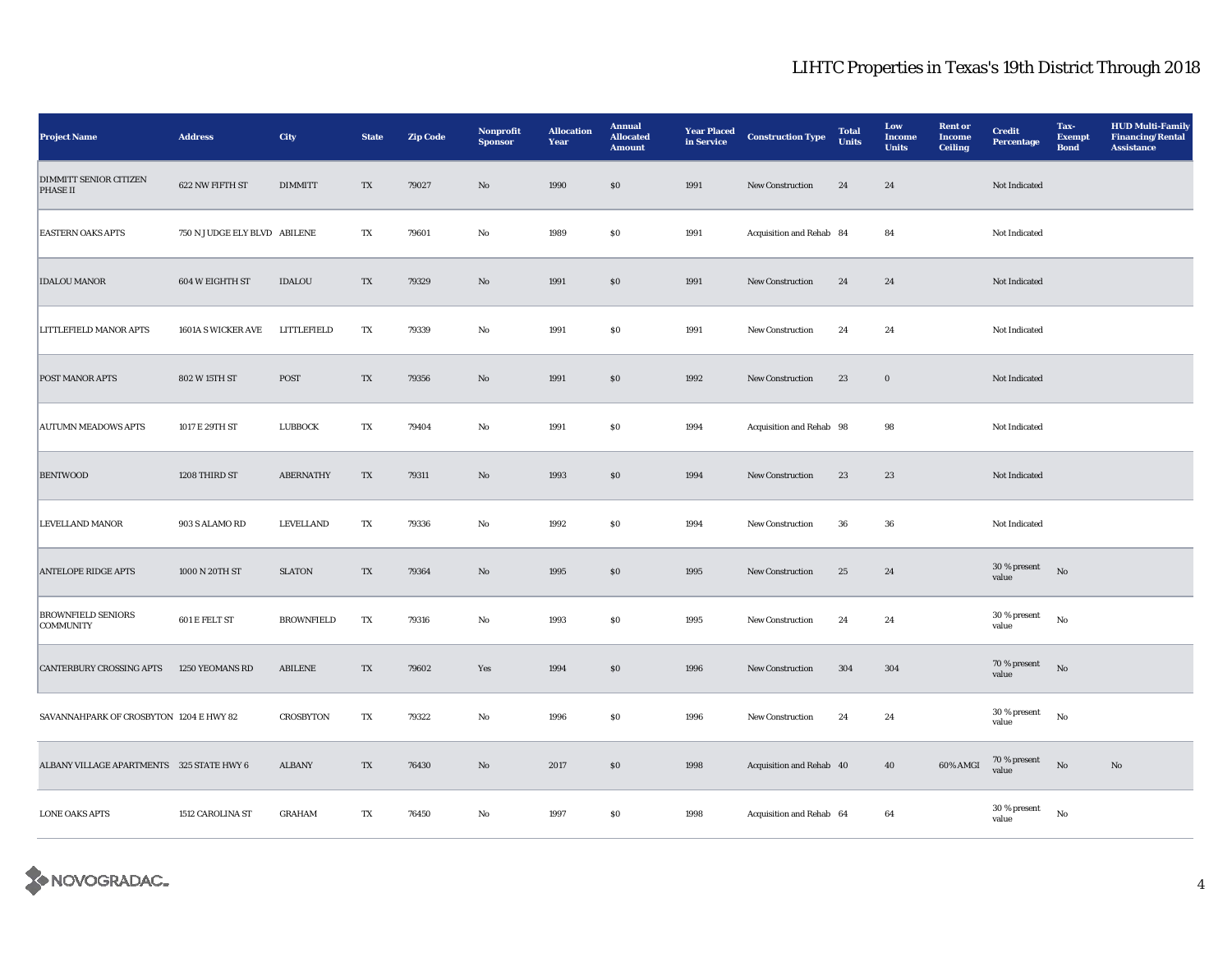| <b>Project Name</b>                              | <b>Address</b>               | City              | <b>State</b>           | <b>Zip Code</b> | Nonprofit<br><b>Sponsor</b> | <b>Allocation</b><br>Year | <b>Annual</b><br><b>Allocated</b><br><b>Amount</b> | <b>Year Placed</b><br>in Service | <b>Construction Type</b> | <b>Total</b><br><b>Units</b> | Low<br><b>Income</b><br><b>Units</b> | <b>Rent or</b><br><b>Income</b><br><b>Ceiling</b> | <b>Credit</b><br><b>Percentage</b> | Tax-<br><b>Exempt</b><br><b>Bond</b> | <b>HUD Multi-Family</b><br><b>Financing/Rental</b><br><b>Assistance</b> |
|--------------------------------------------------|------------------------------|-------------------|------------------------|-----------------|-----------------------------|---------------------------|----------------------------------------------------|----------------------------------|--------------------------|------------------------------|--------------------------------------|---------------------------------------------------|------------------------------------|--------------------------------------|-------------------------------------------------------------------------|
| <b>DIMMITT SENIOR CITIZEN</b><br><b>PHASE II</b> | 622 NW FIFTH ST              | <b>DIMMITT</b>    | TX                     | 79027           | $\rm No$                    | 1990                      | $\$0$                                              | 1991                             | New Construction         | 24                           | 24                                   |                                                   | Not Indicated                      |                                      |                                                                         |
| <b>EASTERN OAKS APTS</b>                         | 750 N JUDGE ELY BLVD ABILENE |                   | TX                     | 79601           | $\mathbf{No}$               | 1989                      | ${\bf S0}$                                         | 1991                             | Acquisition and Rehab 84 |                              | 84                                   |                                                   | Not Indicated                      |                                      |                                                                         |
| <b>IDALOU MANOR</b>                              | 604 W EIGHTH ST              | <b>IDALOU</b>     | TX                     | 79329           | $\mathbf{N}\mathbf{o}$      | 1991                      | $\$0$                                              | 1991                             | New Construction         | 24                           | 24                                   |                                                   | Not Indicated                      |                                      |                                                                         |
| LITTLEFIELD MANOR APTS                           | 1601A S WICKER AVE           | LITTLEFIELD       | TX                     | 79339           | No                          | 1991                      | $\$0$                                              | 1991                             | New Construction         | 24                           | 24                                   |                                                   | Not Indicated                      |                                      |                                                                         |
| POST MANOR APTS                                  | 802 W 15TH ST                | ${\bf POST}$      | ${\rm T}{\rm X}$       | 79356           | $\mathbf {No}$              | 1991                      | $\$0$                                              | 1992                             | New Construction         | 23                           | $\mathbf 0$                          |                                                   | Not Indicated                      |                                      |                                                                         |
| <b>AUTUMN MEADOWS APTS</b>                       | 1017 E 29TH ST               | LUBBOCK           | TX                     | 79404           | $_{\rm No}$                 | 1991                      | $\$0$                                              | 1994                             | Acquisition and Rehab 98 |                              | 98                                   |                                                   | Not Indicated                      |                                      |                                                                         |
| <b>BENTWOOD</b>                                  | 1208 THIRD ST                | <b>ABERNATHY</b>  | TX                     | 79311           | $\mathbf{N}\mathbf{o}$      | 1993                      | $\$0$                                              | 1994                             | New Construction         | 23                           | 23                                   |                                                   | Not Indicated                      |                                      |                                                                         |
| <b>LEVELLAND MANOR</b>                           | 903 S ALAMO RD               | LEVELLAND         | TX                     | 79336           | No                          | 1992                      | $\$0$                                              | 1994                             | New Construction         | 36                           | 36                                   |                                                   | Not Indicated                      |                                      |                                                                         |
| <b>ANTELOPE RIDGE APTS</b>                       | 1000 N 20TH ST               | <b>SLATON</b>     | TX                     | 79364           | $\mathbf{No}$               | 1995                      | \$0                                                | 1995                             | New Construction         | 25                           | 24                                   |                                                   | 30 % present<br>value              | $_{\rm No}$                          |                                                                         |
| <b>BROWNFIELD SENIORS</b><br><b>COMMUNITY</b>    | $601\,\mathrm{E}$ FELT ST    | <b>BROWNFIELD</b> | $\mathbf{T}\mathbf{X}$ | 79316           | $_{\rm No}$                 | 1993                      | $\$0$                                              | 1995                             | New Construction         | 24                           | 24                                   |                                                   | 30 % present<br>value              | $_{\rm No}$                          |                                                                         |
| <b>CANTERBURY CROSSING APTS</b>                  | 1250 YEOMANS RD              | <b>ABILENE</b>    | TX                     | 79602           | Yes                         | 1994                      | \$0                                                | 1996                             | New Construction         | 304                          | 304                                  |                                                   | 70 % present<br>value              | $_{\rm No}$                          |                                                                         |
| SAVANNAHPARK OF CROSBYTON 1204 E HWY 82          |                              | <b>CROSBYTON</b>  | TX                     | 79322           | No                          | 1996                      | <b>SO</b>                                          | 1996                             | New Construction         | 24                           | 24                                   |                                                   | 30 % present<br>value              | $_{\rm No}$                          |                                                                         |
| ALBANY VILLAGE APARTMENTS 325 STATE HWY 6        |                              | <b>ALBANY</b>     | TX                     | 76430           | $\mathbf{N}\mathbf{o}$      | 2017                      | \$0                                                | 1998                             | Acquisition and Rehab 40 |                              | 40                                   | 60% AMGI                                          | $70\,\%$ present<br>value          | $\mathbf {No}$                       | $\mathbf{No}$                                                           |
| <b>LONE OAKS APTS</b>                            | 1512 CAROLINA ST             | <b>GRAHAM</b>     | TX                     | 76450           | No                          | 1997                      | SO.                                                | 1998                             | Acquisition and Rehab 64 |                              | 64                                   |                                                   | $30$ % present<br>value            | No                                   |                                                                         |